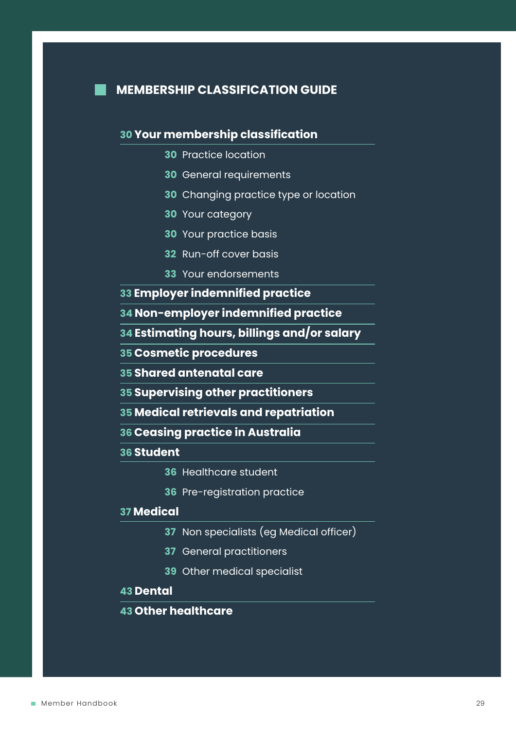

# **MEMBERSHIP CLASSIFICATION GUIDE**

# **30 Your membership classification**

- **30** Practice location
- **30** General requirements
- **30** Changing practice type or location
- **30** Your category
- **30** Your practice basis
- **32** Run-off cover basis
- **33** Your endorsements
- **33 Employer indemnified practice**
- **34 Non-employer indemnified practice**
- **34 Estimating hours, billings and/or salary**
- **35 Cosmetic procedures**
- **35 Shared antenatal care**
- **35 Supervising other practitioners**
- **35 Medical retrievals and repatriation**
- **36 Ceasing practice in Australia**

# **36 Student**

- **36** Healthcare student
- **36** Pre-registration practice

# **37 Medical**

- **37** Non specialists (eg Medical officer)
- **37** General practitioners
- **39** Other medical specialist

# **43 Dental**

# **43 Other healthcare**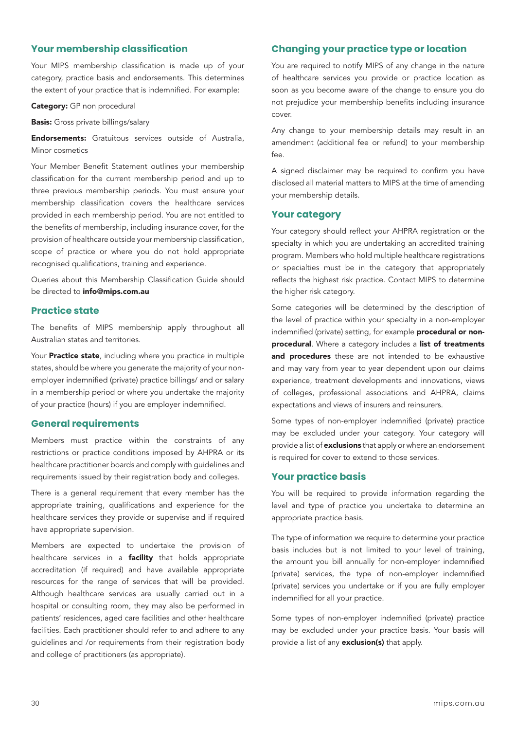## **Your membership classification**

Your MIPS membership classification is made up of your category, practice basis and endorsements. This determines the extent of your practice that is indemnified. For example:

Category: GP non procedural

**Basis:** Gross private billings/salary

**Endorsements:** Gratuitous services outside of Australia, Minor cosmetics

Your Member Benefit Statement outlines your membership classification for the current membership period and up to three previous membership periods. You must ensure your membership classification covers the healthcare services provided in each membership period. You are not entitled to the benefits of membership, including insurance cover, for the provision of healthcare outside your membership classification, scope of practice or where you do not hold appropriate recognised qualifications, training and experience.

Queries about this Membership Classification Guide should be directed to **info@mips.com.au** 

## **Practice state**

The benefits of MIPS membership apply throughout all Australian states and territories.

Your **Practice state**, including where you practice in multiple states, should be where you generate the majority of your nonemployer indemnified (private) practice billings/ and or salary in a membership period or where you undertake the majority of your practice (hours) if you are employer indemnified.

#### **General requirements**

Members must practice within the constraints of any restrictions or practice conditions imposed by AHPRA or its healthcare practitioner boards and comply with guidelines and requirements issued by their registration body and colleges.

There is a general requirement that every member has the appropriate training, qualifications and experience for the healthcare services they provide or supervise and if required have appropriate supervision.

Members are expected to undertake the provision of healthcare services in a **facility** that holds appropriate accreditation (if required) and have available appropriate resources for the range of services that will be provided. Although healthcare services are usually carried out in a hospital or consulting room, they may also be performed in patients' residences, aged care facilities and other healthcare facilities. Each practitioner should refer to and adhere to any guidelines and /or requirements from their registration body and college of practitioners (as appropriate).

# **Changing your practice type or location**

You are required to notify MIPS of any change in the nature of healthcare services you provide or practice location as soon as you become aware of the change to ensure you do not prejudice your membership benefits including insurance cover.

Any change to your membership details may result in an amendment (additional fee or refund) to your membership fee.

A signed disclaimer may be required to confirm you have disclosed all material matters to MIPS at the time of amending your membership details.

## **Your category**

Your category should reflect your AHPRA registration or the specialty in which you are undertaking an accredited training program. Members who hold multiple healthcare registrations or specialties must be in the category that appropriately reflects the highest risk practice. Contact MIPS to determine the higher risk category.

Some categories will be determined by the description of the level of practice within your specialty in a non-employer indemnified (private) setting, for example **procedural or non**procedural. Where a category includes a list of treatments and procedures these are not intended to be exhaustive and may vary from year to year dependent upon our claims experience, treatment developments and innovations, views of colleges, professional associations and AHPRA, claims expectations and views of insurers and reinsurers.

Some types of non-employer indemnified (private) practice may be excluded under your category. Your category will provide a list of exclusions that apply or where an endorsement is required for cover to extend to those services.

## **Your practice basis**

You will be required to provide information regarding the level and type of practice you undertake to determine an appropriate practice basis.

The type of information we require to determine your practice basis includes but is not limited to your level of training, the amount you bill annually for non-employer indemnified (private) services, the type of non-employer indemnified (private) services you undertake or if you are fully employer indemnified for all your practice.

Some types of non-employer indemnified (private) practice may be excluded under your practice basis. Your basis will provide a list of any **exclusion(s)** that apply.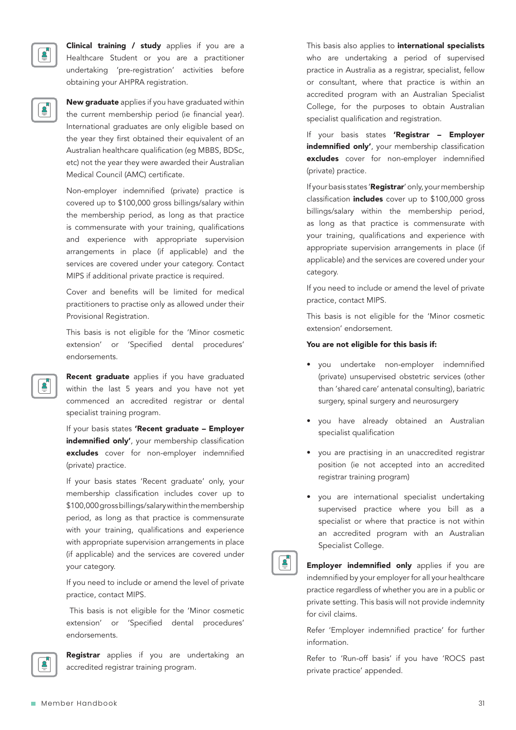

Clinical training / study applies if you are a Healthcare Student or you are a practitioner undertaking 'pre-registration' activities before obtaining your AHPRA registration.

New graduate applies if you have graduated within the current membership period (ie financial year). International graduates are only eligible based on the year they first obtained their equivalent of an Australian healthcare qualification (eg MBBS, BDSc, etc) not the year they were awarded their Australian Medical Council (AMC) certificate.

Non-employer indemnified (private) practice is covered up to \$100,000 gross billings/salary within the membership period, as long as that practice is commensurate with your training, qualifications and experience with appropriate supervision arrangements in place (if applicable) and the services are covered under your category. Contact MIPS if additional private practice is required.

Cover and benefits will be limited for medical practitioners to practise only as allowed under their Provisional Registration.

This basis is not eligible for the 'Minor cosmetic extension' or 'Specified dental procedures' endorsements.

**Recent graduate** applies if you have graduated within the last 5 years and you have not yet commenced an accredited registrar or dental specialist training program.

If your basis states 'Recent graduate - Employer indemnified only', your membership classification excludes cover for non-employer indemnified (private) practice.

If your basis states 'Recent graduate' only, your membership classification includes cover up to \$100,000 gross billings/salary within the membership period, as long as that practice is commensurate with your training, qualifications and experience with appropriate supervision arrangements in place (if applicable) and the services are covered under your category.

If you need to include or amend the level of private practice, contact MIPS.

 This basis is not eligible for the 'Minor cosmetic extension' or 'Specified dental procedures' endorsements.



**Registrar** applies if you are undertaking an accredited registrar training program.

This basis also applies to *international specialists* who are undertaking a period of supervised practice in Australia as a registrar, specialist, fellow or consultant, where that practice is within an accredited program with an Australian Specialist College, for the purposes to obtain Australian specialist qualification and registration.

If your basis states 'Registrar - Employer indemnified only', your membership classification excludes cover for non-employer indemnified (private) practice.

If your basis states 'Registrar' only, your membership classification *includes* cover up to \$100,000 gross billings/salary within the membership period, as long as that practice is commensurate with your training, qualifications and experience with appropriate supervision arrangements in place (if applicable) and the services are covered under your category.

If you need to include or amend the level of private practice, contact MIPS.

This basis is not eligible for the 'Minor cosmetic extension' endorsement.

#### You are not eligible for this basis if:

- you undertake non-employer indemnified (private) unsupervised obstetric services (other than 'shared care' antenatal consulting), bariatric surgery, spinal surgery and neurosurgery
- you have already obtained an Australian specialist qualification
- you are practising in an unaccredited registrar position (ie not accepted into an accredited registrar training program)
- you are international specialist undertaking supervised practice where you bill as a specialist or where that practice is not within an accredited program with an Australian Specialist College.



**Employer indemnified only** applies if you are indemnified by your employer for all your healthcare practice regardless of whether you are in a public or private setting. This basis will not provide indemnity for civil claims.

Refer 'Employer indemnified practice' for further information.

Refer to 'Run-off basis' if you have 'ROCS past private practice' appended.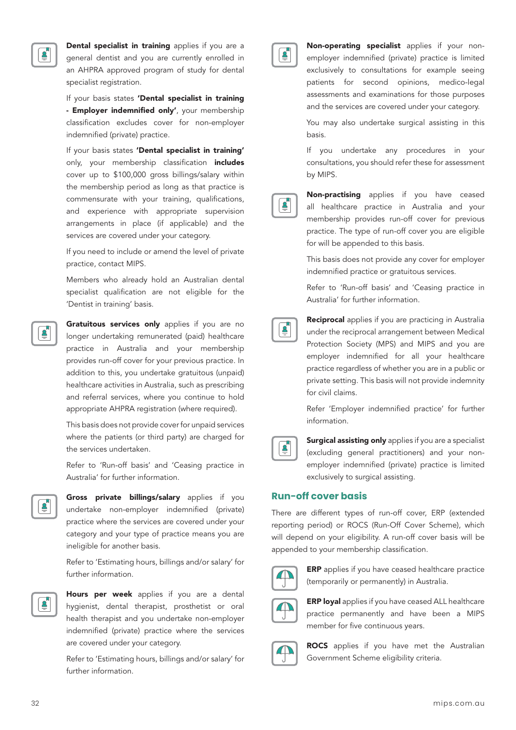

Dental specialist in training applies if you are a general dentist and you are currently enrolled in an AHPRA approved program of study for dental specialist registration.

If your basis states 'Dental specialist in training - **Employer indemnified only'**, your membership classification excludes cover for non-employer indemnified (private) practice.

If your basis states 'Dental specialist in training' only, your membership classification *includes* cover up to \$100,000 gross billings/salary within the membership period as long as that practice is commensurate with your training, qualifications, and experience with appropriate supervision arrangements in place (if applicable) and the services are covered under your category.

If you need to include or amend the level of private practice, contact MIPS.

Members who already hold an Australian dental specialist qualification are not eligible for the 'Dentist in training' basis.

Gratuitous services only applies if you are no longer undertaking remunerated (paid) healthcare practice in Australia and your membership provides run-off cover for your previous practice. In addition to this, you undertake gratuitous (unpaid) healthcare activities in Australia, such as prescribing and referral services, where you continue to hold appropriate AHPRA registration (where required).

This basis does not provide cover for unpaid services where the patients (or third party) are charged for the services undertaken.

Refer to 'Run-off basis' and 'Ceasing practice in Australia' for further information.



Gross private billings/salary applies if you undertake non-employer indemnified (private) practice where the services are covered under your category and your type of practice means you are ineligible for another basis.

Refer to 'Estimating hours, billings and/or salary' for further information.



Hours per week applies if you are a dental hygienist, dental therapist, prosthetist or oral health therapist and you undertake non-employer indemnified (private) practice where the services are covered under your category.

Refer to 'Estimating hours, billings and/or salary' for further information.



Non-operating specialist applies if your nonemployer indemnified (private) practice is limited exclusively to consultations for example seeing patients for second opinions, medico-legal assessments and examinations for those purposes and the services are covered under your category.

You may also undertake surgical assisting in this basis.

If you undertake any procedures in your consultations, you should refer these for assessment by MIPS.

Non-practising applies if you have ceased all healthcare practice in Australia and your membership provides run-off cover for previous practice. The type of run-off cover you are eligible for will be appended to this basis.

This basis does not provide any cover for employer indemnified practice or gratuitous services.

Refer to 'Run-off basis' and 'Ceasing practice in Australia' for further information.

**Reciprocal** applies if you are practicing in Australia under the reciprocal arrangement between Medical Protection Society (MPS) and MIPS and you are employer indemnified for all your healthcare practice regardless of whether you are in a public or private setting. This basis will not provide indemnity for civil claims.

Refer 'Employer indemnified practice' for further information.



 $\bar{\vec{\bm{\theta}}}_n$ 

Surgical assisting only applies if you are a specialist (excluding general practitioners) and your nonemployer indemnified (private) practice is limited exclusively to surgical assisting.

### **Run-off cover basis**

There are different types of run-off cover, ERP (extended reporting period) or ROCS (Run-Off Cover Scheme), which will depend on your eligibility. A run-off cover basis will be appended to your membership classification.



**ERP** applies if you have ceased healthcare practice (temporarily or permanently) in Australia.



**ERP loyal** applies if you have ceased ALL healthcare practice permanently and have been a MIPS member for five continuous years.



**ROCS** applies if you have met the Australian Government Scheme eligibility criteria.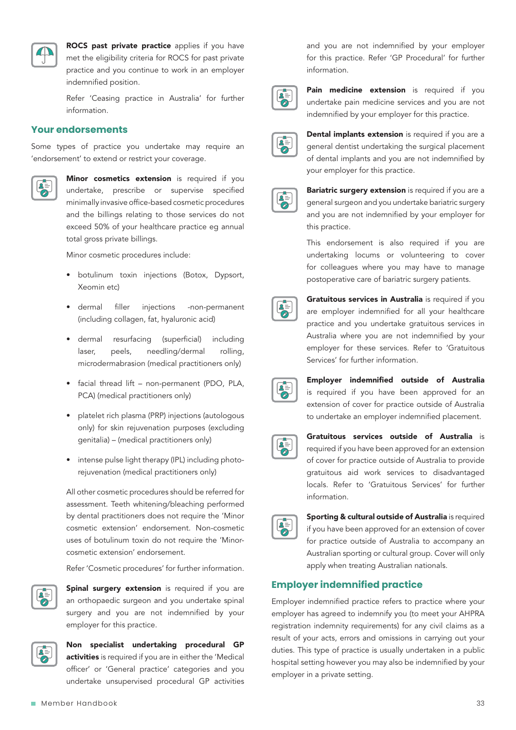

ROCS past private practice applies if you have met the eligibility criteria for ROCS for past private practice and you continue to work in an employer indemnified position.

Refer 'Ceasing practice in Australia' for further information.

## **Your endorsements**

Some types of practice you undertake may require an 'endorsement' to extend or restrict your coverage.



Minor cosmetics extension is required if you undertake, prescribe or supervise specified minimally invasive office-based cosmetic procedures and the billings relating to those services do not exceed 50% of your healthcare practice eg annual total gross private billings.

Minor cosmetic procedures include:

- botulinum toxin injections (Botox, Dypsort, Xeomin etc)
- dermal filler injections -non-permanent (including collagen, fat, hyaluronic acid)
- dermal resurfacing (superficial) including laser, peels, needling/dermal rolling, microdermabrasion (medical practitioners only)
- facial thread lift non-permanent (PDO, PLA, PCA) (medical practitioners only)
- platelet rich plasma (PRP) injections (autologous only) for skin rejuvenation purposes (excluding genitalia) – (medical practitioners only)
- intense pulse light therapy (IPL) including photorejuvenation (medical practitioners only)

All other cosmetic procedures should be referred for assessment. Teeth whitening/bleaching performed by dental practitioners does not require the 'Minor cosmetic extension' endorsement. Non-cosmetic uses of botulinum toxin do not require the 'Minorcosmetic extension' endorsement.

Refer 'Cosmetic procedures' for further information.



Spinal surgery extension is required if you are an orthopaedic surgeon and you undertake spinal surgery and you are not indemnified by your employer for this practice.



Non specialist undertaking procedural GP activities is required if you are in either the 'Medical officer' or 'General practice' categories and you undertake unsupervised procedural GP activities

and you are not indemnified by your employer for this practice. Refer 'GP Procedural' for further information.



Pain medicine extension is required if you undertake pain medicine services and you are not indemnified by your employer for this practice.



Dental implants extension is required if you are a general dentist undertaking the surgical placement of dental implants and you are not indemnified by your employer for this practice.

Bariatric surgery extension is required if you are a general surgeon and you undertake bariatric surgery and you are not indemnified by your employer for this practice.

This endorsement is also required if you are undertaking locums or volunteering to cover for colleagues where you may have to manage postoperative care of bariatric surgery patients.



Gratuitous services in Australia is required if you are employer indemnified for all your healthcare practice and you undertake gratuitous services in Australia where you are not indemnified by your employer for these services. Refer to 'Gratuitous Services' for further information.

Employer indemnified outside of Australia is required if you have been approved for an extension of cover for practice outside of Australia to undertake an employer indemnified placement.

Gratuitous services outside of Australia is required if you have been approved for an extension of cover for practice outside of Australia to provide gratuitous aid work services to disadvantaged locals. Refer to 'Gratuitous Services' for further information.



Sporting & cultural outside of Australia is required if you have been approved for an extension of cover for practice outside of Australia to accompany an Australian sporting or cultural group. Cover will only apply when treating Australian nationals.

# **Employer indemnified practice**

Employer indemnified practice refers to practice where your employer has agreed to indemnify you (to meet your AHPRA registration indemnity requirements) for any civil claims as a result of your acts, errors and omissions in carrying out your duties. This type of practice is usually undertaken in a public hospital setting however you may also be indemnified by your employer in a private setting.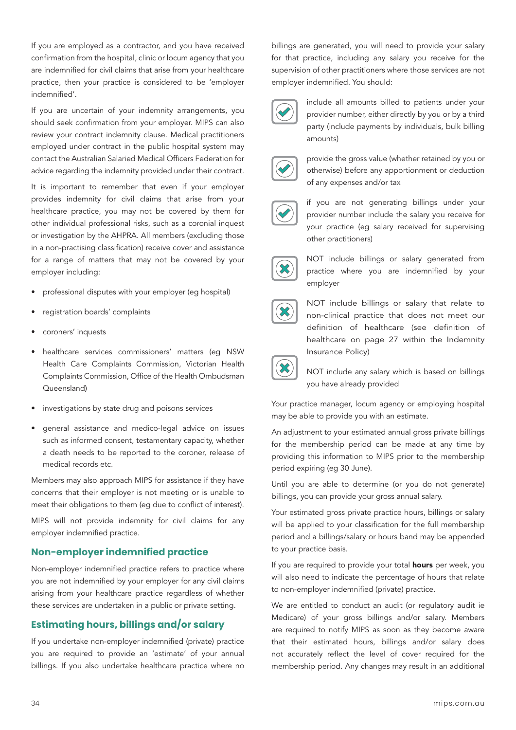If you are employed as a contractor, and you have received confirmation from the hospital, clinic or locum agency that you are indemnified for civil claims that arise from your healthcare practice, then your practice is considered to be 'employer indemnified'.

If you are uncertain of your indemnity arrangements, you should seek confirmation from your employer. MIPS can also review your contract indemnity clause. Medical practitioners employed under contract in the public hospital system may contact the Australian Salaried Medical Officers Federation for advice regarding the indemnity provided under their contract.

It is important to remember that even if your employer provides indemnity for civil claims that arise from your healthcare practice, you may not be covered by them for other individual professional risks, such as a coronial inquest or investigation by the AHPRA. All members (excluding those in a non-practising classification) receive cover and assistance for a range of matters that may not be covered by your employer including:

- professional disputes with your employer (eg hospital)
- registration boards' complaints
- coroners' inquests
- healthcare services commissioners' matters (eg NSW Health Care Complaints Commission, Victorian Health Complaints Commission, Office of the Health Ombudsman Queensland)
- investigations by state drug and poisons services
- general assistance and medico-legal advice on issues such as informed consent, testamentary capacity, whether a death needs to be reported to the coroner, release of medical records etc.

Members may also approach MIPS for assistance if they have concerns that their employer is not meeting or is unable to meet their obligations to them (eg due to conflict of interest).

MIPS will not provide indemnity for civil claims for any employer indemnified practice.

## **Non-employer indemnified practice**

Non-employer indemnified practice refers to practice where you are not indemnified by your employer for any civil claims arising from your healthcare practice regardless of whether these services are undertaken in a public or private setting.

# **Estimating hours, billings and/or salary**

If you undertake non-employer indemnified (private) practice you are required to provide an 'estimate' of your annual billings. If you also undertake healthcare practice where no billings are generated, you will need to provide your salary for that practice, including any salary you receive for the supervision of other practitioners where those services are not employer indemnified. You should:



include all amounts billed to patients under your provider number, either directly by you or by a third party (include payments by individuals, bulk billing amounts)



provide the gross value (whether retained by you or otherwise) before any apportionment or deduction of any expenses and/or tax



if you are not generating billings under your provider number include the salary you receive for your practice (eg salary received for supervising other practitioners)



NOT include billings or salary generated from practice where you are indemnified by your employer



NOT include billings or salary that relate to non-clinical practice that does not meet our definition of healthcare (see definition of healthcare on page 27 within the Indemnity Insurance Policy)



NOT include any salary which is based on billings you have already provided

Your practice manager, locum agency or employing hospital may be able to provide you with an estimate.

An adjustment to your estimated annual gross private billings for the membership period can be made at any time by providing this information to MIPS prior to the membership period expiring (eg 30 June).

Until you are able to determine (or you do not generate) billings, you can provide your gross annual salary.

Your estimated gross private practice hours, billings or salary will be applied to your classification for the full membership period and a billings/salary or hours band may be appended to your practice basis.

If you are required to provide your total **hours** per week, you will also need to indicate the percentage of hours that relate to non-employer indemnified (private) practice.

We are entitled to conduct an audit (or regulatory audit ie Medicare) of your gross billings and/or salary. Members are required to notify MIPS as soon as they become aware that their estimated hours, billings and/or salary does not accurately reflect the level of cover required for the membership period. Any changes may result in an additional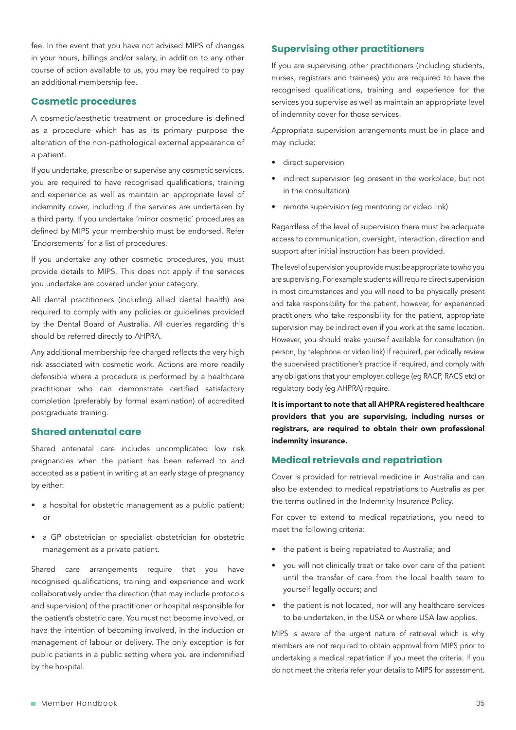fee. In the event that you have not advised MIPS of changes in your hours, billings and/or salary, in addition to any other course of action available to us, you may be required to pay an additional membership fee.

## **Cosmetic procedures**

A cosmetic/aesthetic treatment or procedure is defined as a procedure which has as its primary purpose the alteration of the non-pathological external appearance of a patient.

If you undertake, prescribe or supervise any cosmetic services, you are required to have recognised qualifications, training and experience as well as maintain an appropriate level of indemnity cover, including if the services are undertaken by a third party. If you undertake 'minor cosmetic' procedures as defined by MIPS your membership must be endorsed. Refer 'Endorsements' for a list of procedures.

If you undertake any other cosmetic procedures, you must provide details to MIPS. This does not apply if the services you undertake are covered under your category.

All dental practitioners (including allied dental health) are required to comply with any policies or guidelines provided by the Dental Board of Australia. All queries regarding this should be referred directly to AHPRA.

Any additional membership fee charged reflects the very high risk associated with cosmetic work. Actions are more readily defensible where a procedure is performed by a healthcare practitioner who can demonstrate certified satisfactory completion (preferably by formal examination) of accredited postgraduate training.

## **Shared antenatal care**

Shared antenatal care includes uncomplicated low risk pregnancies when the patient has been referred to and accepted as a patient in writing at an early stage of pregnancy by either:

- a hospital for obstetric management as a public patient; or
- a GP obstetrician or specialist obstetrician for obstetric management as a private patient.

Shared care arrangements require that you have recognised qualifications, training and experience and work collaboratively under the direction (that may include protocols and supervision) of the practitioner or hospital responsible for the patient's obstetric care. You must not become involved, or have the intention of becoming involved, in the induction or management of labour or delivery. The only exception is for public patients in a public setting where you are indemnified by the hospital.

## **Supervising other practitioners**

If you are supervising other practitioners (including students, nurses, registrars and trainees) you are required to have the recognised qualifications, training and experience for the services you supervise as well as maintain an appropriate level of indemnity cover for those services.

Appropriate supervision arrangements must be in place and may include:

- direct supervision
- indirect supervision (eg present in the workplace, but not in the consultation)
- remote supervision (eq mentoring or video link)

Regardless of the level of supervision there must be adequate access to communication, oversight, interaction, direction and support after initial instruction has been provided.

The level of supervision you provide must be appropriate to who you are supervising. For example students will require direct supervision in most circumstances and you will need to be physically present and take responsibility for the patient, however, for experienced practitioners who take responsibility for the patient, appropriate supervision may be indirect even if you work at the same location. However, you should make yourself available for consultation (in person, by telephone or video link) if required, periodically review the supervised practitioner's practice if required, and comply with any obligations that your employer, college (eg RACP, RACS etc) or regulatory body (eg AHPRA) require.

It is important to note that all AHPRA registered healthcare providers that you are supervising, including nurses or registrars, are required to obtain their own professional indemnity insurance.

# **Medical retrievals and repatriation**

Cover is provided for retrieval medicine in Australia and can also be extended to medical repatriations to Australia as per the terms outlined in the Indemnity Insurance Policy.

For cover to extend to medical repatriations, you need to meet the following criteria:

- the patient is being repatriated to Australia; and
- you will not clinically treat or take over care of the patient until the transfer of care from the local health team to yourself legally occurs; and
- the patient is not located, nor will any healthcare services to be undertaken, in the USA or where USA law applies.

MIPS is aware of the urgent nature of retrieval which is why members are not required to obtain approval from MIPS prior to undertaking a medical repatriation if you meet the criteria. If you do not meet the criteria refer your details to MIPS for assessment.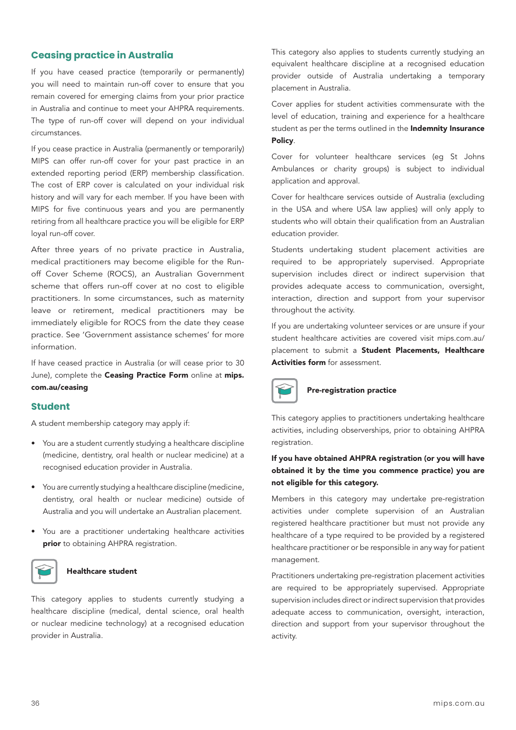# **Ceasing practice in Australia**

If you have ceased practice (temporarily or permanently) you will need to maintain run-off cover to ensure that you remain covered for emerging claims from your prior practice in Australia and continue to meet your AHPRA requirements. The type of run-off cover will depend on your individual circumstances.

If you cease practice in Australia (permanently or temporarily) MIPS can offer run-off cover for your past practice in an extended reporting period (ERP) membership classification. The cost of ERP cover is calculated on your individual risk history and will vary for each member. If you have been with MIPS for five continuous years and you are permanently retiring from all healthcare practice you will be eligible for ERP loyal run-off cover.

After three years of no private practice in Australia, medical practitioners may become eligible for the Runoff Cover Scheme (ROCS), an Australian Government scheme that offers run-off cover at no cost to eligible practitioners. In some circumstances, such as maternity leave or retirement, medical practitioners may be immediately eligible for ROCS from the date they cease practice. See 'Government assistance schemes' for more information.

If have ceased practice in Australia (or will cease prior to 30 June), complete the Ceasing Practice Form online at mips. com.au/ceasing

#### **Student**

A student membership category may apply if:

- You are a student currently studying a healthcare discipline (medicine, dentistry, oral health or nuclear medicine) at a recognised education provider in Australia.
- You are currently studying a healthcare discipline (medicine, dentistry, oral health or nuclear medicine) outside of Australia and you will undertake an Australian placement.
- You are a practitioner undertaking healthcare activities prior to obtaining AHPRA registration.



#### Healthcare student

This category applies to students currently studying a healthcare discipline (medical, dental science, oral health or nuclear medicine technology) at a recognised education provider in Australia.

This category also applies to students currently studying an equivalent healthcare discipline at a recognised education provider outside of Australia undertaking a temporary placement in Australia.

Cover applies for student activities commensurate with the level of education, training and experience for a healthcare student as per the terms outlined in the Indemnity Insurance Policy.

Cover for volunteer healthcare services (eg St Johns Ambulances or charity groups) is subject to individual application and approval.

Cover for healthcare services outside of Australia (excluding in the USA and where USA law applies) will only apply to students who will obtain their qualification from an Australian education provider.

Students undertaking student placement activities are required to be appropriately supervised. Appropriate supervision includes direct or indirect supervision that provides adequate access to communication, oversight, interaction, direction and support from your supervisor throughout the activity.

If you are undertaking volunteer services or are unsure if your student healthcare activities are covered visit mips.com.au/ placement to submit a Student Placements, Healthcare Activities form for assessment.



### Pre-registration practice

This category applies to practitioners undertaking healthcare activities, including observerships, prior to obtaining AHPRA registration.

## If you have obtained AHPRA registration (or you will have obtained it by the time you commence practice) you are not eligible for this category.

Members in this category may undertake pre-registration activities under complete supervision of an Australian registered healthcare practitioner but must not provide any healthcare of a type required to be provided by a registered healthcare practitioner or be responsible in any way for patient management.

Practitioners undertaking pre-registration placement activities are required to be appropriately supervised. Appropriate supervision includes direct or indirect supervision that provides adequate access to communication, oversight, interaction, direction and support from your supervisor throughout the activity.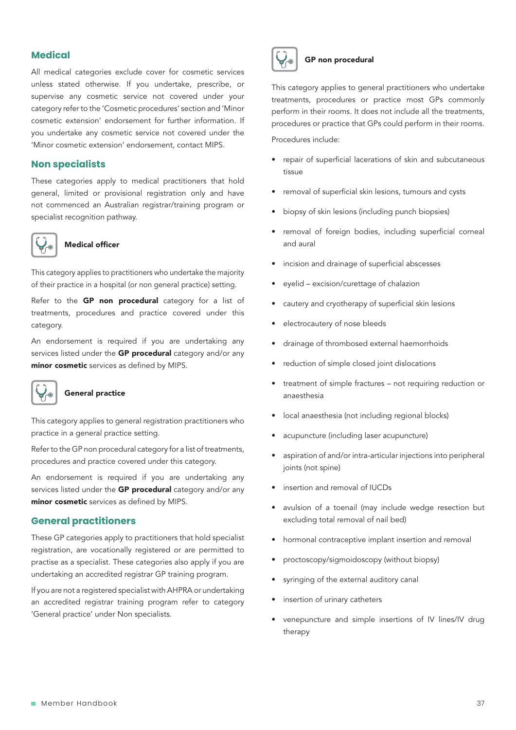# **Medical**

All medical categories exclude cover for cosmetic services unless stated otherwise. If you undertake, prescribe, or supervise any cosmetic service not covered under your category refer to the 'Cosmetic procedures' section and 'Minor cosmetic extension' endorsement for further information. If you undertake any cosmetic service not covered under the 'Minor cosmetic extension' endorsement, contact MIPS.

#### **Non specialists**

These categories apply to medical practitioners that hold general, limited or provisional registration only and have not commenced an Australian registrar/training program or specialist recognition pathway.



#### Medical officer

This category applies to practitioners who undertake the majority of their practice in a hospital (or non general practice) setting.

Refer to the GP non procedural category for a list of treatments, procedures and practice covered under this category.

An endorsement is required if you are undertaking any services listed under the GP procedural category and/or any minor cosmetic services as defined by MIPS.



## General practice

This category applies to general registration practitioners who practice in a general practice setting.

Refer to the GP non procedural category for a list of treatments, procedures and practice covered under this category.

An endorsement is required if you are undertaking any services listed under the GP procedural category and/or any minor cosmetic services as defined by MIPS.

## **General practitioners**

These GP categories apply to practitioners that hold specialist registration, are vocationally registered or are permitted to practise as a specialist. These categories also apply if you are undertaking an accredited registrar GP training program.

If you are not a registered specialist with AHPRA or undertaking an accredited registrar training program refer to category 'General practice' under Non specialists.



#### GP non procedural

This category applies to general practitioners who undertake treatments, procedures or practice most GPs commonly perform in their rooms. It does not include all the treatments, procedures or practice that GPs could perform in their rooms. Procedures include:

- repair of superficial lacerations of skin and subcutaneous tissue
- removal of superficial skin lesions, tumours and cysts
- biopsy of skin lesions (including punch biopsies)
- removal of foreign bodies, including superficial corneal and aural
- incision and drainage of superficial abscesses
- eyelid excision/curettage of chalazion
- cautery and cryotherapy of superficial skin lesions
- electrocautery of nose bleeds
- drainage of thrombosed external haemorrhoids
- reduction of simple closed joint dislocations
- treatment of simple fractures not requiring reduction or anaesthesia
- local anaesthesia (not including regional blocks)
- acupuncture (including laser acupuncture)
- aspiration of and/or intra-articular injections into peripheral joints (not spine)
- insertion and removal of IUCDs
- avulsion of a toenail (may include wedge resection but excluding total removal of nail bed)
- hormonal contraceptive implant insertion and removal
- proctoscopy/sigmoidoscopy (without biopsy)
- syringing of the external auditory canal
- insertion of urinary catheters
- venepuncture and simple insertions of IV lines/IV drug therapy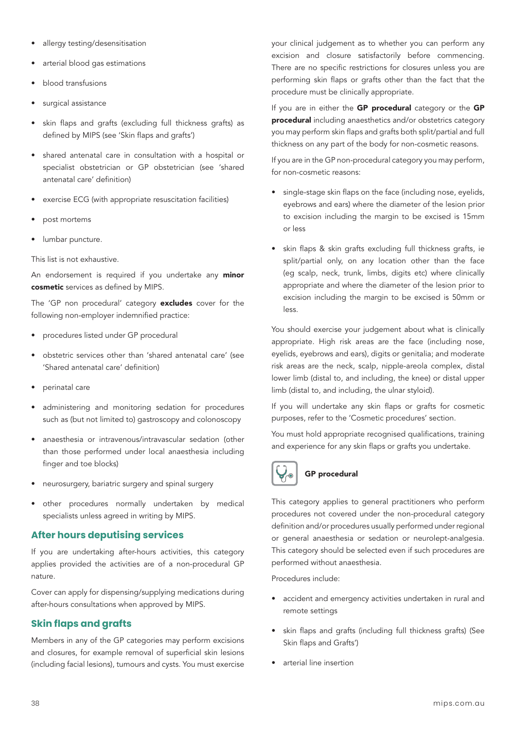- allergy testing/desensitisation
- arterial blood gas estimations
- blood transfusions
- surgical assistance
- skin flaps and grafts (excluding full thickness grafts) as defined by MIPS (see 'Skin flaps and grafts')
- shared antenatal care in consultation with a hospital or specialist obstetrician or GP obstetrician (see 'shared antenatal care' definition)
- exercise ECG (with appropriate resuscitation facilities)
- post mortems
- lumbar puncture.

This list is not exhaustive.

An endorsement is required if you undertake any **minor** cosmetic services as defined by MIPS.

The 'GP non procedural' category excludes cover for the following non-employer indemnified practice:

- procedures listed under GP procedural
- obstetric services other than 'shared antenatal care' (see 'Shared antenatal care' definition)
- perinatal care
- administering and monitoring sedation for procedures such as (but not limited to) gastroscopy and colonoscopy
- anaesthesia or intravenous/intravascular sedation (other than those performed under local anaesthesia including finger and toe blocks)
- neurosurgery, bariatric surgery and spinal surgery
- other procedures normally undertaken by medical specialists unless agreed in writing by MIPS.

# **After hours deputising services**

If you are undertaking after-hours activities, this category applies provided the activities are of a non-procedural GP nature.

Cover can apply for dispensing/supplying medications during after-hours consultations when approved by MIPS.

# **Skin flaps and grafts**

Members in any of the GP categories may perform excisions and closures, for example removal of superficial skin lesions (including facial lesions), tumours and cysts. You must exercise

your clinical judgement as to whether you can perform any excision and closure satisfactorily before commencing. There are no specific restrictions for closures unless you are performing skin flaps or grafts other than the fact that the procedure must be clinically appropriate.

If you are in either the GP procedural category or the GP procedural including anaesthetics and/or obstetrics category you may perform skin flaps and grafts both split/partial and full thickness on any part of the body for non-cosmetic reasons.

If you are in the GP non-procedural category you may perform, for non-cosmetic reasons:

- single-stage skin flaps on the face (including nose, eyelids, eyebrows and ears) where the diameter of the lesion prior to excision including the margin to be excised is 15mm or less
- skin flaps & skin grafts excluding full thickness grafts, ie split/partial only, on any location other than the face (eg scalp, neck, trunk, limbs, digits etc) where clinically appropriate and where the diameter of the lesion prior to excision including the margin to be excised is 50mm or less.

You should exercise your judgement about what is clinically appropriate. High risk areas are the face (including nose, eyelids, eyebrows and ears), digits or genitalia; and moderate risk areas are the neck, scalp, nipple-areola complex, distal lower limb (distal to, and including, the knee) or distal upper limb (distal to, and including, the ulnar styloid).

If you will undertake any skin flaps or grafts for cosmetic purposes, refer to the 'Cosmetic procedures' section.

You must hold appropriate recognised qualifications, training and experience for any skin flaps or grafts you undertake.



# GP procedural

This category applies to general practitioners who perform procedures not covered under the non-procedural category definition and/or procedures usually performed under regional or general anaesthesia or sedation or neurolept-analgesia. This category should be selected even if such procedures are performed without anaesthesia.

Procedures include:

- accident and emergency activities undertaken in rural and remote settings
- skin flaps and grafts (including full thickness grafts) (See Skin flaps and Grafts')
- arterial line insertion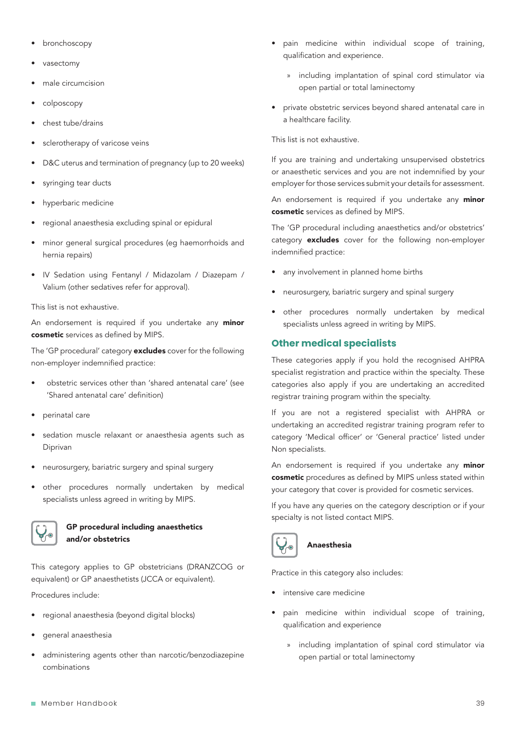- bronchoscopy
- vasectomy
- male circumcision
- colposcopy
- chest tube/drains
- sclerotherapy of varicose veins
- D&C uterus and termination of pregnancy (up to 20 weeks)
- syringing tear ducts
- hyperbaric medicine
- regional anaesthesia excluding spinal or epidural
- minor general surgical procedures (eg haemorrhoids and hernia repairs)
- IV Sedation using Fentanyl / Midazolam / Diazepam / Valium (other sedatives refer for approval).

This list is not exhaustive.

An endorsement is required if you undertake any minor cosmetic services as defined by MIPS.

The 'GP procedural' category excludes cover for the following non-employer indemnified practice:

- obstetric services other than 'shared antenatal care' (see 'Shared antenatal care' definition)
- perinatal care
- sedation muscle relaxant or anaesthesia agents such as Diprivan
- neurosurgery, bariatric surgery and spinal surgery
- other procedures normally undertaken by medical specialists unless agreed in writing by MIPS.



### GP procedural including anaesthetics and/or obstetrics

This category applies to GP obstetricians (DRANZCOG or equivalent) or GP anaesthetists (JCCA or equivalent).

Procedures include:

- regional anaesthesia (beyond digital blocks)
- general anaesthesia
- administering agents other than narcotic/benzodiazepine combinations
- pain medicine within individual scope of training, qualification and experience.
	- » including implantation of spinal cord stimulator via open partial or total laminectomy
- private obstetric services beyond shared antenatal care in a healthcare facility.

This list is not exhaustive.

If you are training and undertaking unsupervised obstetrics or anaesthetic services and you are not indemnified by your employer for those services submit your details for assessment.

An endorsement is required if you undertake any minor cosmetic services as defined by MIPS.

The 'GP procedural including anaesthetics and/or obstetrics' category **excludes** cover for the following non-employer indemnified practice:

- any involvement in planned home births
- neurosurgery, bariatric surgery and spinal surgery
- other procedures normally undertaken by medical specialists unless agreed in writing by MIPS.

## **Other medical specialists**

These categories apply if you hold the recognised AHPRA specialist registration and practice within the specialty. These categories also apply if you are undertaking an accredited registrar training program within the specialty.

If you are not a registered specialist with AHPRA or undertaking an accredited registrar training program refer to category 'Medical officer' or 'General practice' listed under Non specialists.

An endorsement is required if you undertake any minor cosmetic procedures as defined by MIPS unless stated within your category that cover is provided for cosmetic services.

If you have any queries on the category description or if your specialty is not listed contact MIPS.



# Anaesthesia

Practice in this category also includes:

- intensive care medicine
- pain medicine within individual scope of training, qualification and experience
	- » including implantation of spinal cord stimulator via open partial or total laminectomy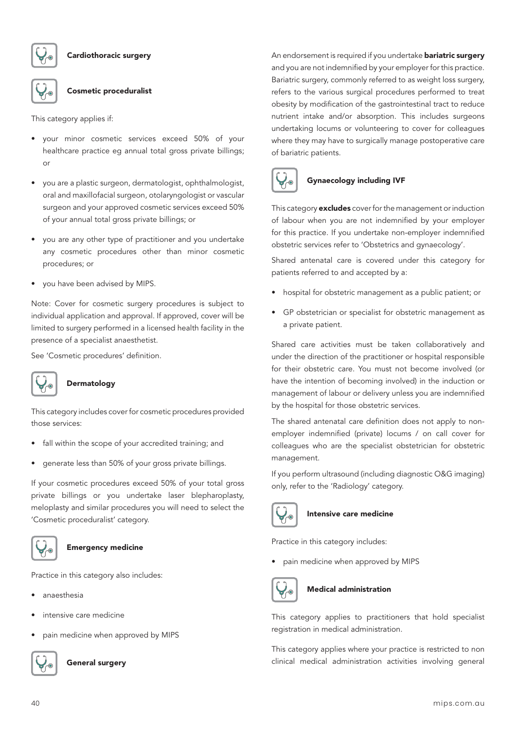

Cardiothoracic surgery

#### Cosmetic proceduralist

This category applies if:

- your minor cosmetic services exceed 50% of your healthcare practice eg annual total gross private billings; or
- you are a plastic surgeon, dermatologist, ophthalmologist, oral and maxillofacial surgeon, otolaryngologist or vascular surgeon and your approved cosmetic services exceed 50% of your annual total gross private billings; or
- you are any other type of practitioner and you undertake any cosmetic procedures other than minor cosmetic procedures; or
- you have been advised by MIPS.

Note: Cover for cosmetic surgery procedures is subject to individual application and approval. If approved, cover will be limited to surgery performed in a licensed health facility in the presence of a specialist anaesthetist.

See 'Cosmetic procedures' definition.



#### Dermatology

This category includes cover for cosmetic procedures provided those services:

- fall within the scope of your accredited training; and
- generate less than 50% of your gross private billings.

If your cosmetic procedures exceed 50% of your total gross private billings or you undertake laser blepharoplasty, meloplasty and similar procedures you will need to select the 'Cosmetic proceduralist' category.



#### Emergency medicine

Practice in this category also includes:

- anaesthesia
- intensive care medicine
- pain medicine when approved by MIPS



General surgery

An endorsement is required if you undertake **bariatric surgery** and you are not indemnified by your employer for this practice. Bariatric surgery, commonly referred to as weight loss surgery, refers to the various surgical procedures performed to treat obesity by modification of the gastrointestinal tract to reduce nutrient intake and/or absorption. This includes surgeons undertaking locums or volunteering to cover for colleagues where they may have to surgically manage postoperative care of bariatric patients.



## Gynaecology including IVF

This category excludes cover for the management or induction of labour when you are not indemnified by your employer for this practice. If you undertake non-employer indemnified obstetric services refer to 'Obstetrics and gynaecology'.

Shared antenatal care is covered under this category for patients referred to and accepted by a:

- hospital for obstetric management as a public patient; or
- GP obstetrician or specialist for obstetric management as a private patient.

Shared care activities must be taken collaboratively and under the direction of the practitioner or hospital responsible for their obstetric care. You must not become involved (or have the intention of becoming involved) in the induction or management of labour or delivery unless you are indemnified by the hospital for those obstetric services.

The shared antenatal care definition does not apply to nonemployer indemnified (private) locums / on call cover for colleagues who are the specialist obstetrician for obstetric management.

If you perform ultrasound (including diagnostic O&G imaging) only, refer to the 'Radiology' category.



## Intensive care medicine

Practice in this category includes:

• pain medicine when approved by MIPS



## Medical administration

This category applies to practitioners that hold specialist registration in medical administration.

This category applies where your practice is restricted to non clinical medical administration activities involving general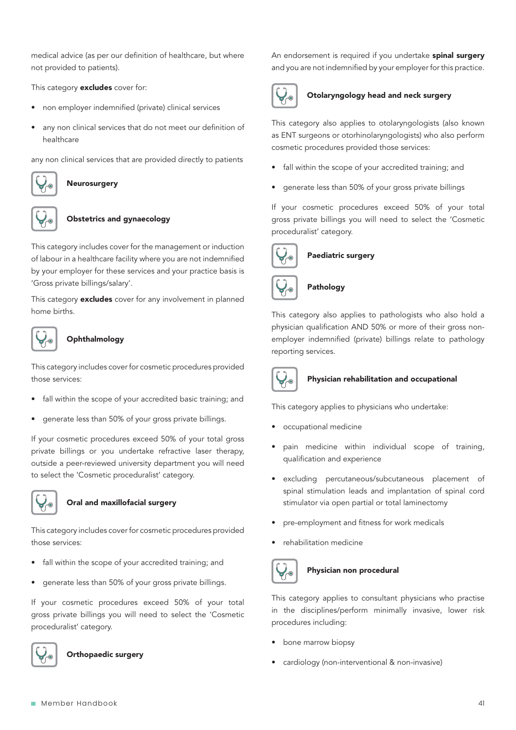medical advice (as per our definition of healthcare, but where not provided to patients).

This category **excludes** cover for:

- non employer indemnified (private) clinical services
- any non clinical services that do not meet our definition of healthcare

any non clinical services that are provided directly to patients



Neurosurgery



#### Obstetrics and gynaecology

This category includes cover for the management or induction of labour in a healthcare facility where you are not indemnified by your employer for these services and your practice basis is 'Gross private billings/salary'.

This category **excludes** cover for any involvement in planned home births.

# **Ophthalmology**

This category includes cover for cosmetic procedures provided those services:

- fall within the scope of your accredited basic training; and
- generate less than 50% of your gross private billings.

If your cosmetic procedures exceed 50% of your total gross private billings or you undertake refractive laser therapy, outside a peer-reviewed university department you will need to select the 'Cosmetic proceduralist' category.



#### Oral and maxillofacial surgery

This category includes cover for cosmetic procedures provided those services:

- fall within the scope of your accredited training; and
- generate less than 50% of your gross private billings.

If your cosmetic procedures exceed 50% of your total gross private billings you will need to select the 'Cosmetic proceduralist' category.



Orthopaedic surgery

An endorsement is required if you undertake spinal surgery and you are not indemnified by your employer for this practice.



# Otolaryngology head and neck surgery

This category also applies to otolaryngologists (also known as ENT surgeons or otorhinolaryngologists) who also perform cosmetic procedures provided those services:

- fall within the scope of your accredited training; and
- generate less than 50% of your gross private billings

If your cosmetic procedures exceed 50% of your total gross private billings you will need to select the 'Cosmetic proceduralist' category.



#### Paediatric surgery



#### Pathology

This category also applies to pathologists who also hold a physician qualification AND 50% or more of their gross nonemployer indemnified (private) billings relate to pathology reporting services.



#### Physician rehabilitation and occupational

This category applies to physicians who undertake:

- occupational medicine
- pain medicine within individual scope of training, qualification and experience
- excluding percutaneous/subcutaneous placement of spinal stimulation leads and implantation of spinal cord stimulator via open partial or total laminectomy
- pre-employment and fitness for work medicals
- rehabilitation medicine



#### Physician non procedural

This category applies to consultant physicians who practise in the disciplines/perform minimally invasive, lower risk procedures including:

- bone marrow biopsy
- cardiology (non-interventional & non-invasive)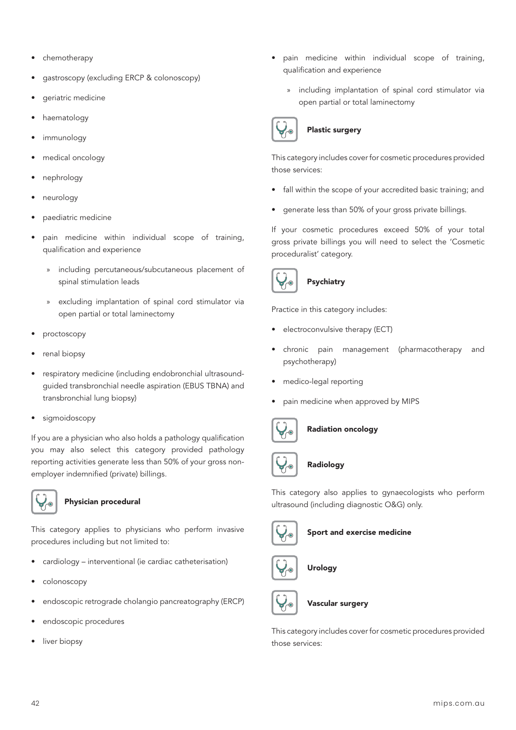- chemotherapy
- gastroscopy (excluding ERCP & colonoscopy)
- geriatric medicine
- haematology
- immunology
- medical oncology
- nephrology
- neurology
- paediatric medicine
- pain medicine within individual scope of training, qualification and experience
	- » including percutaneous/subcutaneous placement of spinal stimulation leads
	- excluding implantation of spinal cord stimulator via open partial or total laminectomy
- proctoscopy
- renal biopsy
- respiratory medicine (including endobronchial ultrasoundguided transbronchial needle aspiration (EBUS TBNA) and transbronchial lung biopsy)
- sigmoidoscopy

If you are a physician who also holds a pathology qualification you may also select this category provided pathology reporting activities generate less than 50% of your gross nonemployer indemnified (private) billings.



## Physician procedural

This category applies to physicians who perform invasive procedures including but not limited to:

- cardiology interventional (ie cardiac catheterisation)
- colonoscopy
- endoscopic retrograde cholangio pancreatography (ERCP)
- endoscopic procedures
- liver biopsy
- pain medicine within individual scope of training, qualification and experience
	- » including implantation of spinal cord stimulator via open partial or total laminectomy



# Plastic surgery

This category includes cover for cosmetic procedures provided those services:

- fall within the scope of your accredited basic training; and
- generate less than 50% of your gross private billings.

If your cosmetic procedures exceed 50% of your total gross private billings you will need to select the 'Cosmetic proceduralist' category.



# Psychiatry

Practice in this category includes:

- electroconvulsive therapy (ECT)
- chronic pain management (pharmacotherapy and psychotherapy)
- medico-legal reporting
- pain medicine when approved by MIPS



## Radiation oncology



# Radiology

This category also applies to gynaecologists who perform ultrasound (including diagnostic O&G) only.



Sport and exercise medicine



Urology



Vascular surgery

This category includes cover for cosmetic procedures provided those services: